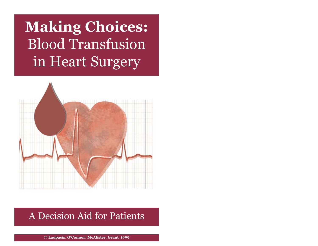**Making Choices:** Blood Transfusion in Heart Surgery



# A Decision Aid for Patients

**© Laupacis, O'Connor, McAlister, Grant 1999**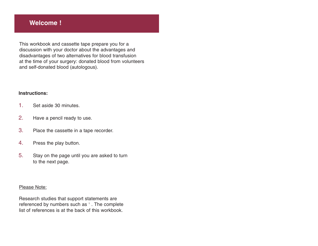#### **Welcome !**

This workbook and cassette tape prepare you for a discussion with your doctor about the advantages and disadvantages of two alternatives for blood transfusion at the time of your surgery: donated blood from volunteers and self-donated blood (autologous).

#### **Instructions:**

- 1. Set aside 30 minutes.
- 2. Have a pencil ready to use.
- 3. Place the cassette in a tape recorder.
- 4. Press the play button.
- 5. Stay on the page until you are asked to turn to the next page.

#### Please Note:

Research studies that support statements are referenced by numbers such as <sup>1</sup>. The complete list of references is at the back of this workbook.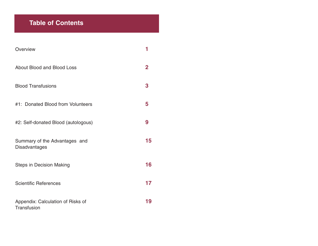## **Table of Contents**

| Overview                                         |                |
|--------------------------------------------------|----------------|
| About Blood and Blood Loss                       | $\overline{2}$ |
| <b>Blood Transfusions</b>                        | 3              |
| #1: Donated Blood from Volunteers                | 5              |
| #2: Self-donated Blood (autologous)              | 9              |
| Summary of the Advantages and<br>Disadvantages   | 15             |
| <b>Steps in Decision Making</b>                  | 16             |
| <b>Scientific References</b>                     | 17             |
| Appendix: Calculation of Risks of<br>Transfusion | 19             |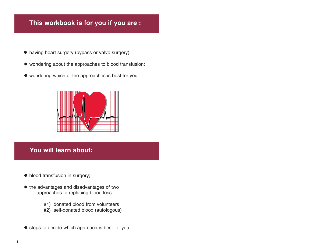## **This workbook is for you if you are :**

- having heart surgery (bypass or valve surgery);
- wondering about the approaches to blood transfusion;
- wondering which of the approaches is best for you.



### **You will learn about:**

- blood transfusion in surgery;
- $\bullet$  the advantages and disadvantages of two approaches to replacing blood loss:
	- #1) donated blood from volunteers
	- #2) self-donated blood (autologous)
- $\bullet$  steps to decide which approach is best for you.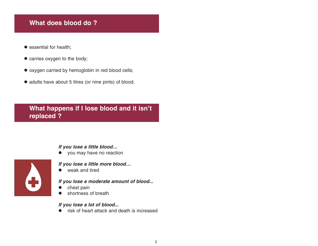### **What does blood do ?**

- $\bullet$  essential for health;
- $\bullet$  carries oxygen to the body;
- $\bullet$  oxygen carried by hemoglobin in red blood cells;
- adults have about 5 litres (or nine pints) of blood.

**What happens if I lose blood and it isn't replaced ?**

#### **If you lose a little blood…**

• you may have no reaction



#### **If you lose a little more blood…**

 $\bullet$  weak and tired

#### **If you lose a moderate amount of blood...**

- o chest pain
- O shortness of breath

#### **If you lose a lot of blood...**

O risk of heart attack and death is increased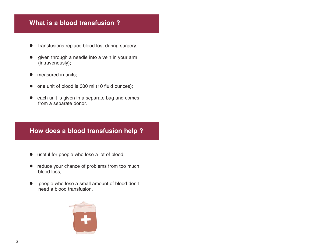#### **What is a blood transfusion ?**

- $\bullet$  transfusions replace blood lost during surgery;
- $\bullet$  given through a needle into a vein in your arm (intravenously);
- $\bullet$ measured in units;
- one unit of blood is 300 ml (10 fluid ounces);
- $\bullet$  each unit is given in a separate bag and comes from a separate donor.

### **How does a blood transfusion help ?**

- useful for people who lose a lot of blood;
- reduce your chance of problems from too much blood loss;
- O people who lose a small amount of blood don't need a blood transfusion.

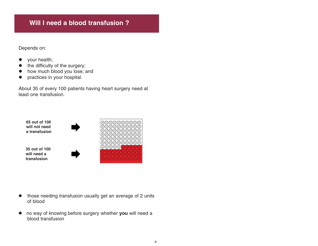### **Will I need a blood transfusion ?**

Depends on:

- $\bullet$  your health;
- the difficulty of the surgery;
- $\bullet$  how much blood you lose; and
- practices in your hospital.

About 35 of every 100 patients having heart surgery need at least one transfusion.

**65 out of 100 will not need a transfusion**

**35 out of 100 will need a transfusion**





- $\bullet$  those needing transfusion usually get an average of 2 units of blood
- $\bullet$  no way of knowing before surgery whether **you** will need a blood transfusion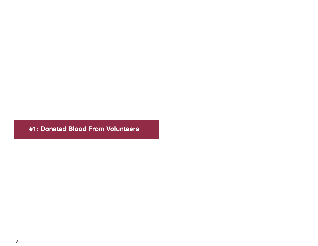**#1: Donated Blood From Volunteers**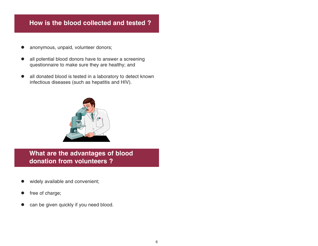#### **How is the blood collected and tested ?**

- anonymous, unpaid, volunteer donors;
- all potential blood donors have to answer a screening questionnaire to make sure they are healthy; and
- all donated blood is tested in a laboratory to detect known infectious diseases (such as hepatitis and HIV).



**What are the advantages of blood donation from volunteers ?**

- widely available and convenient;
- free of charge;
- can be given quickly if you need blood.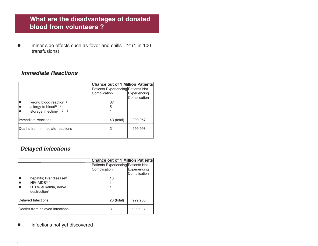## **What are the disadvantages of donated blood from volunteers ?**

 $\bullet$  minor side effects such as fever and chills **1,10,12** (1 in 100 transfusions)

#### **Immediate Reactions**

|                                        | <b>Chance out of 1 Million Patients</b> |              |
|----------------------------------------|-----------------------------------------|--------------|
|                                        | Patients Experiencing Patients Not      |              |
|                                        | Complication                            | Experiencing |
|                                        |                                         | Complication |
| wrong blood reaction <sup>13</sup>     | 37                                      |              |
| allergy to blood <sup>8, 12</sup>      | 5                                       |              |
| storage infection <sup>7, 12, 15</sup> |                                         |              |
| Ilmmediate reactions                   | 43 (total)                              | 999,957      |
| Deaths from immediate reactions        | 2                                       | 999,998      |
|                                        |                                         |              |

#### **Delayed Infections**

|                                                  | <b>Chance out of 1 Million Patients</b> |              |
|--------------------------------------------------|-----------------------------------------|--------------|
|                                                  | Patients Experiencing Patients Not      |              |
|                                                  | Complication                            | Experiencing |
|                                                  |                                         | Complication |
| hepatits; liver disease <sup>5</sup>             | 18                                      |              |
| HIV-AIDS6, 12                                    |                                         |              |
| HTLV-leukemia, nerve<br>destruction <sup>5</sup> |                                         |              |
| Delayed Infections                               | 20 (total)                              | 999,980      |
| Deaths from delayed infections                   | З                                       | 999,997      |

#### $\bullet$ infections not yet discovered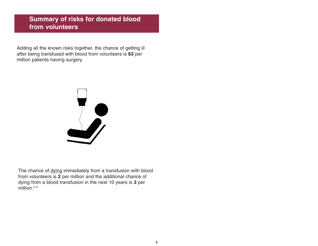### **Summary of risks for donated blood from volunteers**

Adding all the known risks together, the chance of getting ill after being transfused with blood from volunteers is **63** per million patients having surgery.



The chance of dying immediately from a transfusion with blood from volunteers is **2** per million and the additional chance of dying from a blood transfusion in the next 10 years is **3** per million.<sup>5-15</sup>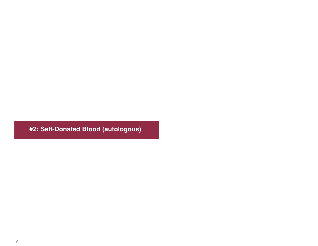**#2: Self-Donated Blood (autologous)**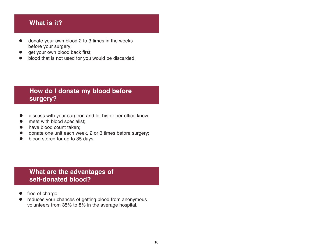#### **What is it?**

- O donate your own blood 2 to 3 times in the weeks before your surgery;
- O get your own blood back first;
- O blood that is not used for you would be discarded.

## **How do I donate my blood before surgery?**

- O discuss with your surgeon and let his or her office know;
- O meet with blood specialist;
- O have blood count taken;
- O donate one unit each week, 2 or 3 times before surgery;
- O blood stored for up to 35 days.

## **What are the advantages of self-donated blood?**

- O free of charge;
- O reduces your chances of getting blood from anonymous volunteers from 35% to 8% in the average hospital.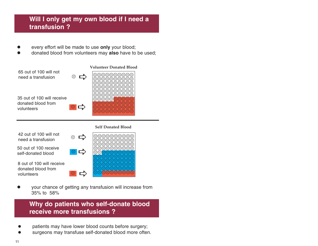## **Will I only get my own blood if I need a transfusion ?**

- O every effort will be made to use **only** your blood;
- O donated blood from volunteers may **also** have to be used;



**Self Donated Blood**

42 out of 100 will not need a transfusion

50 out of 100 receive self-donated blood

8 out of 100 will receive donated blood from volunteers



O your chance of getting any transfusion will increase from 35% to 58%

 $\bigodot$ 

**Why do patients who self-donate blood receive more transfusions ?**

- zpatients may have lower blood counts before surgery;
- zsurgeons may transfuse self-donated blood more often.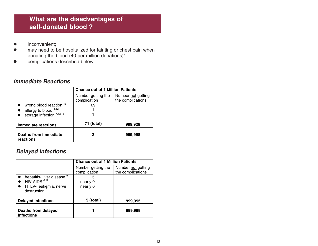## **What are the disadvantages of self-donated blood ?**

- O inconvenient;
- $\bullet$  may need to be hospitalized for fainting or chest pain when donating the blood (40 per million donations)<sup>9</sup>
- $\bullet$ complications described below:

#### **Immediate Reactions**

|                                    | <b>Chance out of 1 Million Patients</b> |                                         |
|------------------------------------|-----------------------------------------|-----------------------------------------|
|                                    | Number getting the<br>complication      | Number not getting<br>the complications |
| wrong blood reaction <sup>13</sup> | 69                                      |                                         |
| allergy to blood 8,12              |                                         |                                         |
| storage infection $^{7,12,15}$     |                                         |                                         |
| <b>Immediate reactions</b>         | 71 (total)                              | 999,929                                 |
| Deaths from immediate<br>reactions | 2                                       | 999,998                                 |

#### **Delayed Infections**

|                                                                                                                        | <b>Chance out of 1 Million Patients</b> |                                         |
|------------------------------------------------------------------------------------------------------------------------|-----------------------------------------|-----------------------------------------|
|                                                                                                                        | Number getting the<br>complication      | Number not getting<br>the complications |
| hepatitis- liver disease <sup>5</sup><br>HIV-AIDS <sup>6,12</sup><br>HTLV- leukemia, nerve<br>destruction <sup>5</sup> | 5<br>nearly 0<br>nearly 0               |                                         |
| <b>Delayed infections</b>                                                                                              | 5 (total)                               | 999,995                                 |
| Deaths from delayed<br>infections                                                                                      |                                         | 999,999                                 |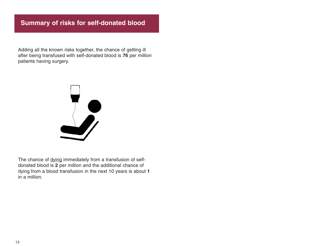## **Summary of risks for self-donated blood**

Adding all the known risks together, the chance of getting ill after being transfused with self-donated blood is **76** per million patients having surgery.



The chance of dying immediately from a transfusion of selfdonated blood is **2** per million and the additional chance of dying from a blood transfusion in the next 10 years is about **1** in a million.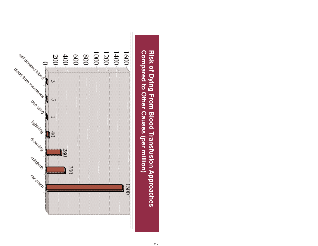

Risk of Dying From Blood Transfusion Approaches Compared to Other Causes (per million) **Compared to Other Causes (per million) Risk of Dying From Blood Transfusion Approaches**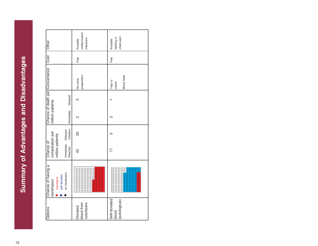|                                                                 |                       | undiscovered<br>infections<br>Possible | chest pain<br>fainting or<br>Possible          |
|-----------------------------------------------------------------|-----------------------|----------------------------------------|------------------------------------------------|
|                                                                 |                       | Free                                   | Free                                           |
| Chance of death per Convenience   Cost   Other                  |                       | preparation<br>No extra                | <b>Blood tests</b><br>Trips to<br>centre       |
|                                                                 | Delayed               | ო                                      |                                                |
| million patients                                                | Immediate             | N                                      | 2                                              |
|                                                                 | Infection<br>Delayed  | 20                                     | 5                                              |
| complication per<br>million patients<br>Chance of               | Immediate<br>Reaction | $\frac{3}{4}$                          | $\overline{1}$                                 |
| Chance of having a<br>self-donated<br>volunteers<br>transfusion | no transfusion        |                                        | 000000000<br>00000000<br>000000000<br>88888888 |
| Options                                                         |                       | blood from<br>volunteers<br>Donated    | Self-donated<br>(autologous)<br>blood          |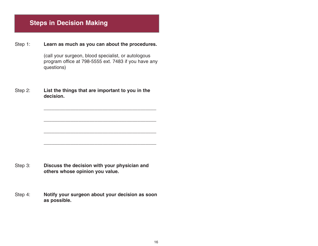## **Steps in Decision Making**

Step 1: **Learn as much as you can about the procedures.**

(call your surgeon, blood specialist, or autologous program office at 798-5555 ext. 7483 if you have any questions)

**\_\_\_\_\_\_\_\_\_\_\_\_\_\_\_\_\_\_\_\_\_\_\_\_\_\_\_\_\_\_\_\_\_\_\_\_\_\_\_\_\_\_**

**\_\_\_\_\_\_\_\_\_\_\_\_\_\_\_\_\_\_\_\_\_\_\_\_\_\_\_\_\_\_\_\_\_\_\_\_\_\_\_\_\_\_**

Step 2: **List the things that are important to you in the decision.**

Step 3: **Discuss the decision with your physician and others whose opinion you value.**

Step 4: **Notify your surgeon about your decision as soon as possible.**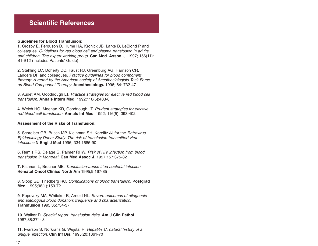#### **Scientific References**

#### **Guidelines for Blood Transfusion:**

**1**. Crosby E, Ferguson D, Hume HA, Kronick JB, Larke B, LeBlond P and colleagues. Guidelines for red blood cell and plasma transfusion in adults and children. The expert working group. **Can Med. Assoc**. J. 1997; 156(11): S1-S12 (Includes Patients' Guide)

**2.** Stehling LC, Doherty DC, Faust RJ, Greenburg AG, Harrison CR, Landers DF and colleagues. Practice guidelines for blood component therapy: A report by the American society of Anesthesiologists Task Force on Blood Component Therapy. **Anesthesiology.** 1996; 84: 732-47

**3**. Audet AM, Goodnough LT. Practice strategies for elective red blood cell transfusion. **Annals Intern Med**. 1992;116(5):403-6

**4.** Welch HG, Meehan KR, Goodnough LT. Prudent strategies for elective red blood cell transfusion. **Annals Int Med**. 1992; 116(5): 393-402

#### **Assessment of the Risks of Transfusion:**

**5.** Schreiber GB, Busch MP, Kleinman SH, Korelitz JJ for the Retrovirus Epidemiology Donor Study. The risk of transfusion-transmitted viral infections **N Engl J Med** 1996; 334:1685-90

**6.** Remis RS, Delage G, Palmer RHW. Risk of HIV infection from blood transfusion in Montreal. **Can Med Assoc J**. 1997;157:375-82

**7.** Kishnan L, Brecher ME. Transfusion-transmitted bacterial infection. **Hematol Oncol Clinics North Am** 1995;9:167-85

**8**. Sloop GD, Friedberg RC. Complications of blood transfusion. **Postgrad Med.** 1995;98(1);159-72

**9**. Popovsky MA, Whitaker B, Arnold NL. Severe outcomes of allogeneic and autologous blood donation: frequency and characterization. **Transfusion** 1995:35:734-37

**10.** Walker R Special report: transfusion risks. **Am J Clin Pathol.** 1987;88:374- 8

**11**. Iwarson S, Norkrans G, Wejstal R. Hepatitis C: natural history of a unique infection. **Clin Inf Dis.** 1995;20:1361-70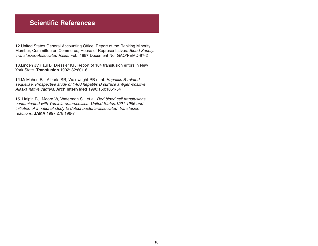#### **Scientific References**

**12**.United States General Accounting Office. Report of the Ranking Minority Member, Committee on Commerce, House of Representatives. Blood Supply: Transfusion-Associated Risks. Feb. 1997 Document No. GAO/PEMD-97-2

**13**.Linden JV,Paul B, Dressler KP. Report of 104 transfusion errors in New York State. **Transfusion** 1992: 32:601-6

**14**.McMahon BJ, Alberts SR, Wainwright RB et al. Hepatitis B-related sequellae. Prospective study of 1400 hepatitis B surface antigen-positive Alaska native carriers. **Arch Intern Med** 1990;150:1051-54

**15.** Halpin EJ, Moore W, Waterman SH et al. Red blood cell transfusions contaminated with Yersinia enterocolitica. United States,1991-1996 and initiation of a national study to detect bacteria-associated transfusion reactions. **JAMA** 1997;278:196-7